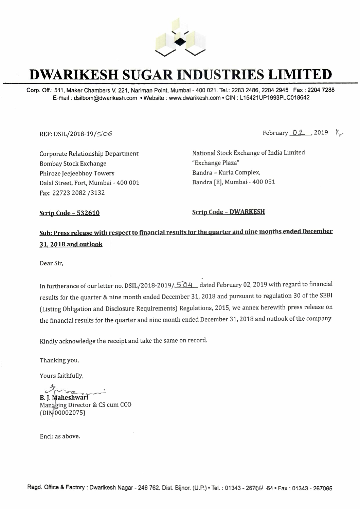

# **DWARIKESH SUGAR INDUSTRIES LIMITED**

Corp. Off.: 511, Maker Chambers V, 221, Nariman Point, Mumbai - 400 021. Tel.: 2283 2486, 2204 2945 Fax: 2204 7288 E-mail : dsilbom@dwarikesh.com • Website : www.dwarikesh.com • CIN : L 15421UP1993PLC018642

REF: DSIL/2018-19/506 February 02, 2019  $\chi$ 

Corporate Relationship Department Bombay Stock Exchange Phiroze Jeejeebhoy Towers Dalal Street, Fort, Mumbai - 400 001 Fax: 22723 2082 /3132

National Stock Exchange of India Limited "Exchange Plaza" Bandra - Kurla Complex, Bandra [E], Mumbai- 400 051

**Scrip Code - 532610** Scrip Code - **DWARKESH** 

# Sub: Press release with respect to financial results for the quarter and nine months ended December **31. 2018 and outlook**

Dear Sir,

In furtherance of our letter no. DSIL/2018-2019/504\_dated February 02, 2019 with regard to financial results for the quarter & nine month ended December 31, 2018 and pursuant to regulation 30 of the SEBI (Listing Obligation and Disclosure Requirements) Regulations, 2015, we annex herewith press release on the financial results for the quarter and nine month ended December 31, 2018 and outlook of the company.

Kindly acknowledge the receipt and take the same on record.

Thanking you,

Yours faithfully,

**B. J. Mah** Managing Director & CS cum CCO Milowedge the receipt and tar<br>
you,<br>
thfully,<br> **eshwari**<br>
g Director & CS cum CCO<br>
02075)  $(DIN 00002075)$ 

Encl: as above.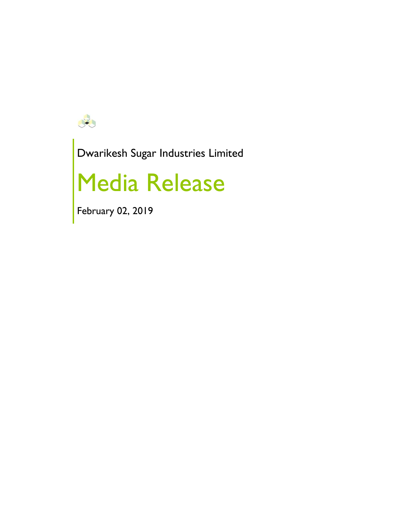

Dwarikesh Sugar Industries Limited

# Media Release

February 02, 2019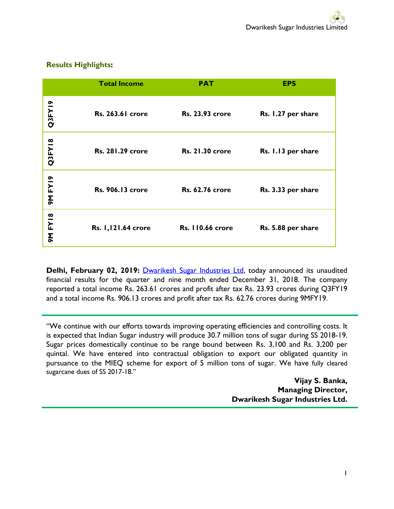## **Results Highlights:**

|               | <b>Total Income</b>     | <b>PAT</b>              | <b>EPS</b>         |
|---------------|-------------------------|-------------------------|--------------------|
| Q3FY19        | <b>Rs. 263.61 crore</b> | <b>Rs. 23.93 crore</b>  | Rs. 1.27 per share |
| Q3FY18        | <b>Rs. 281.29 crore</b> | <b>Rs. 21.30 crore</b>  | Rs. 1.13 per share |
| <b>9MFY19</b> | <b>Rs. 906.13 crore</b> | <b>Rs. 62.76 crore</b>  | Rs. 3.33 per share |
| 9M FY18       | Rs. 1,121.64 crore      | <b>Rs. 110.66 crore</b> | Rs. 5.88 per share |

**Delhi, February 02, 2019:** [Dwarikesh Sugar Industries Ltd,](http://www.dwarikesh.com/) today announced its unaudited financial results for the quarter and nine month ended December 31, 2018. The company reported a total income Rs. 263.61 crores and profit after tax Rs. 23.93 crores during Q3FY19 and a total income Rs. 906.13 crores and profit after tax Rs. 62.76 crores during 9MFY19.

"We continue with our efforts towards improving operating efficiencies and controlling costs. It is expected that Indian Sugar industry will produce 30.7 million tons of sugar during SS 2018-19. Sugar prices domestically continue to be range bound between Rs. 3,100 and Rs. 3,200 per quintal. We have entered into contractual obligation to export our obligated quantity in pursuance to the MIEQ scheme for export of 5 million tons of sugar. We have fully cleared sugarcane dues of SS 2017-18."

> **Vijay S. Banka, Managing Director, Dwarikesh Sugar Industries Ltd.**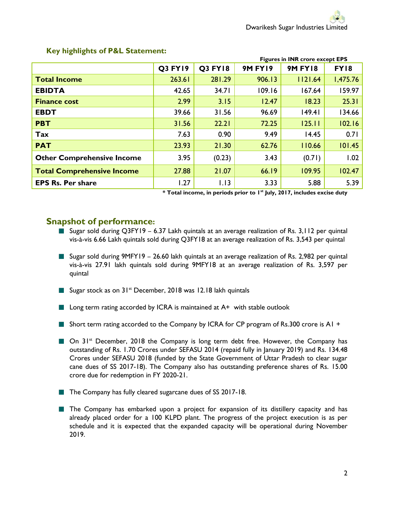|                                   | <b>Figures in INR crore except EPS</b> |                |                |                |          |
|-----------------------------------|----------------------------------------|----------------|----------------|----------------|----------|
|                                   | <b>Q3 FY19</b>                         | <b>Q3 FY18</b> | <b>9M FY19</b> | <b>9M FY18</b> | FY18     |
| <b>Total Income</b>               | 263.61                                 | 281.29         | 906.13         | 1121.64        | 1,475.76 |
| <b>EBIDTA</b>                     | 42.65                                  | 34.71          | 109.16         | 167.64         | 159.97   |
| <b>Finance cost</b>               | 2.99                                   | 3.15           | 12.47          | 18.23          | 25.31    |
| <b>EBDT</b>                       | 39.66                                  | 31.56          | 96.69          | 49.4           | 134.66   |
| <b>PBT</b>                        | 31.56                                  | 22.21          | 72.25          | 125.11         | 102.16   |
| Tax                               | 7.63                                   | 0.90           | 9.49           | 14.45          | 0.71     |
| <b>PAT</b>                        | 23.93                                  | 21.30          | 62.76          | 110.66         | 101.45   |
| <b>Other Comprehensive Income</b> | 3.95                                   | (0.23)         | 3.43           | (0.71)         | 1.02     |
| <b>Total Comprehensive Income</b> | 27.88                                  | 21.07          | 66.19          | 109.95         | 102.47   |
| <b>EPS Rs. Per share</b>          | 1.27                                   | 1.13           | 3.33           | 5.88           | 5.39     |

#### **Key highlights of P&L Statement:**

**\* Total income, in periods prior to 1st July, 2017, includes excise duty** 

### **Snapshot of performance:**

- Sugar sold during Q3FY19 6.37 Lakh quintals at an average realization of Rs. 3,112 per quintal vis-à-vis 6.66 Lakh quintals sold during Q3FY18 at an average realization of Rs. 3,543 per quintal
- Sugar sold during 9MFY19 26.60 lakh quintals at an average realization of Rs. 2,982 per quintal vis-à-vis 27.91 lakh quintals sold during 9MFY18 at an average realization of Rs. 3,597 per quintal
- Sugar stock as on 31<sup>st</sup> December, 2018 was 12.18 lakh quintals
- $\blacksquare$  Long term rating accorded by ICRA is maintained at A+ with stable outlook
- Short term rating accorded to the Company by ICRA for CP program of Rs.300 crore is A1 +
- On 31<sup>st</sup> December, 2018 the Company is long term debt free. However, the Company has outstanding of Rs. 1.70 Crores under SEFASU 2014 (repaid fully in January 2019) and Rs. 134.48 Crores under SEFASU 2018 (funded by the State Government of Uttar Pradesh to clear sugar cane dues of SS 2017-18). The Company also has outstanding preference shares of Rs. 15.00 crore due for redemption in FY 2020-21.
- The Company has fully cleared sugarcane dues of SS 2017-18.
- **The Company has embarked upon a project for expansion of its distillery capacity and has** already placed order for a 100 KLPD plant. The progress of the project execution is as per schedule and it is expected that the expanded capacity will be operational during November 2019.